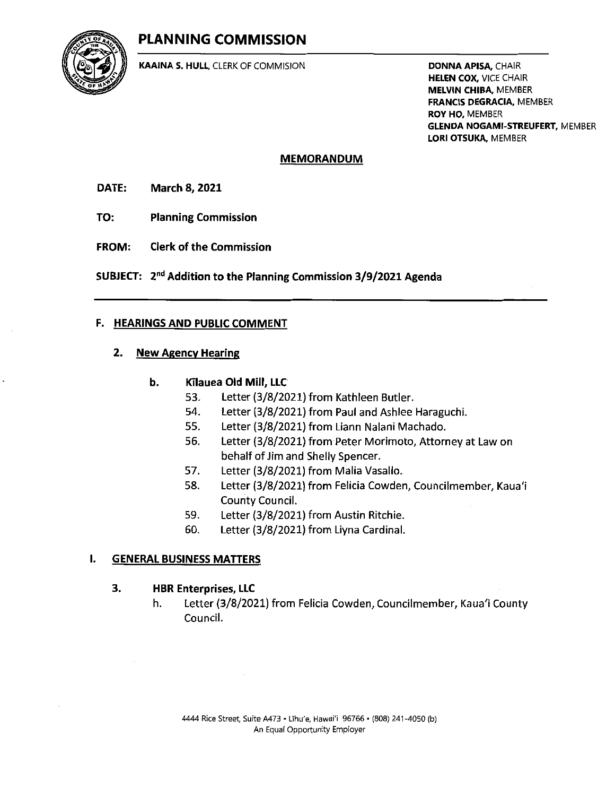# PLANNING COMMISSION



KAAINA S. HULL, CLERK OF COMMISION

DONNA APISA, CHAIR **HELEN COX, VICE CHAIR** MELVIN CHIBA. MEMBER FRANCIS DEGRACIA, MEMBER ROY HO, MEMBER GLENDA NOGAMI-STREUFERT, MEMBER LORI OTSUKA, MEMBER

## MEMORANDUM

- DATE: March 8, 2021
- TO: Planning Commission
- FROM: Clerk of the Commission
- SUBJECT: 2nd Addition to the Planning Commission 3/9/2021 Agenda

## F. HEARINGS AND PUBLIC COMMENT

## 2. New Agency Hearing

## b. KTIauea Old Mill, LLC

- 53. Letter (3/8/2021) from Kathleen Butler.
- Letter (3/8/2021) from Paul and Ashlee Haraguchi.
- 55. Letter (3/8/2021) from Liann Nalani Machado.
- 56. Letter (3/8/2021) from Peter Morimoto, Attorney at Law on behalf of Jim and Shelly Spencer.
- 57. Letter (3/8/2021) from Malia Vasallo.
- 58. Letter (3/8/2021) from Felicia Cowden, Councilmember, Kaua'i CountyCouncil.
- 59. Letter (3/8/2021) from Austin Ritchie.
- 60. Letter (3/8/2021) from Liyna Cardinal.

## I. GENERAL BUSINESS MATTERS

## 3. HBR Enterprises, LLC

h. Letter (3/8/2021) from Felicia Cowden, Councilmember, Kaua'i County Council.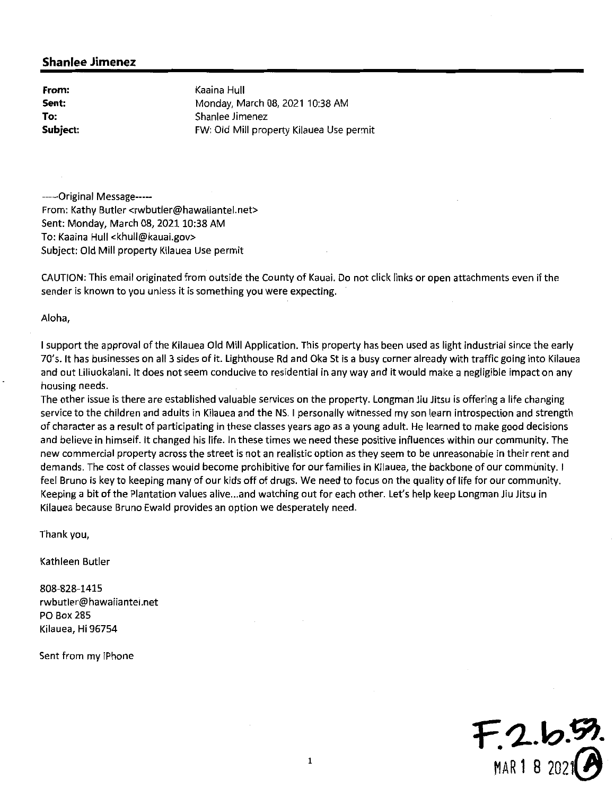From: Sent: To: Subject: Kaaina Hull Monday, March 08, 2021 10:38 AM Shanlee Jimenez FW: Old Mill property Kilauea Use permit

-----Original Message-----From: Kathy Butler <rwbutler@hawaiiantel.net> Sent: Monday, March 08,2021 10:38 AM To: Kaaina Hull <khull@kauai.gov> Subject: Old Mill property Kilauea Use permit

CAUTION: This email originated from outside the County of Kauai. Do not click links or open attachments even ifthe sender is known to you unless it is something you were expecting.

Aloha,

<sup>1</sup> support the approval ofthe Kilauea Old Mill Application. This propertyhas been used as light industrial since the early 70's. It has businesses on all <sup>3</sup> sides of it. Lighthouse Rd and Oka St is <sup>a</sup> busy corner already with traffic going into Kilauea and out Liliuokalani. It does not seem conducive to residential in any way and it would make <sup>a</sup> negligible impact on any housing needs.

The other issue is there are established valuable services on the property. Longman Jiu Jitsu is offering <sup>a</sup> life changing service to the children and adults in Kilauea and the NS. <sup>1</sup> personally witnessed my son learn introspection and strength of character as <sup>a</sup> result of participating in these classes years ago as <sup>a</sup> young adult. He learned to make good decisions and believe in himself. It changed his life. In these times we need these positive influences within our community. The new commercial property across the street is not an realistic option as they seem to be unreasonable in their rent and demands. The cost of classes would become prohibitive for our families in Kilauea, the backbone of our community. <sup>1</sup> feel Bruno is key to keeping many of our kids off of drugs. We need to focus on the quality of life for our community. Keeping a bit of the Plantation values alive...and watching out for each other. Let's help keep Longman Jiu Jitsu in Kilauea because Bruno Ewald provides an option we desperately need.

Thankyou,

Kathleen Butler

808-828-1415 rwbutler@hawaiiantel.net PO Box 285 Kilauea, Hi 96754

Sent from my iPhone

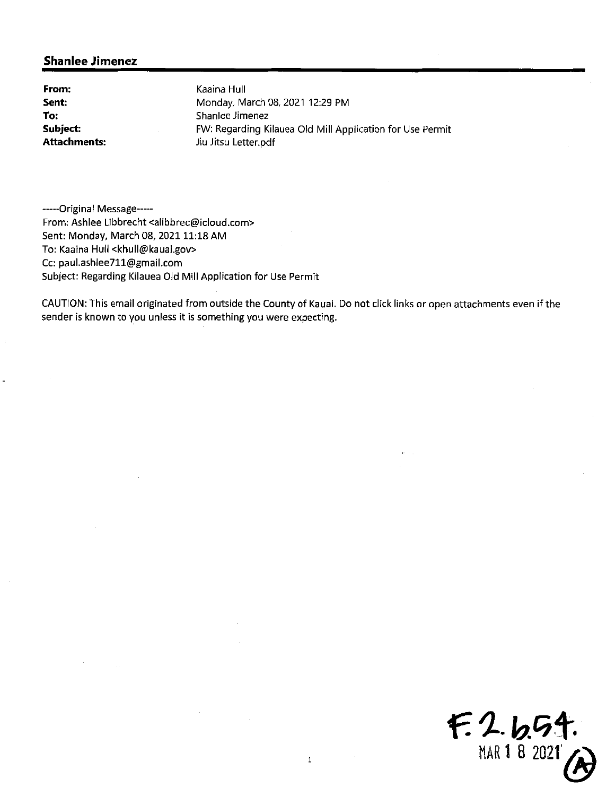From: Sent: To: Subject: Attachments:

Kaaina Hull Monday, March 08, 2021 12:29 PM Shanlee Jimenez FW: Regarding Kilauea Old Mill Application for Use Permit Jiu Jitsu Letter.pdf

-----Original Message-----From: Ashlee Libbrecht <alibbrec@icloud.com> Sent: Monday, March 08, 2021 11:18 AM To: Kaaina Hull <khull@kauai.gov> Cc: paul.ashlee711@gmail.com Subject: Regarding Kilauea Old Mill Application for Use Permit

CAUTION: This email originated from outside the County of Kauai. Do not click links or open attachments even ifthe sender is known to you unless it is something you were expecting.

 $F. 2.651.$ MAR 1 8 2021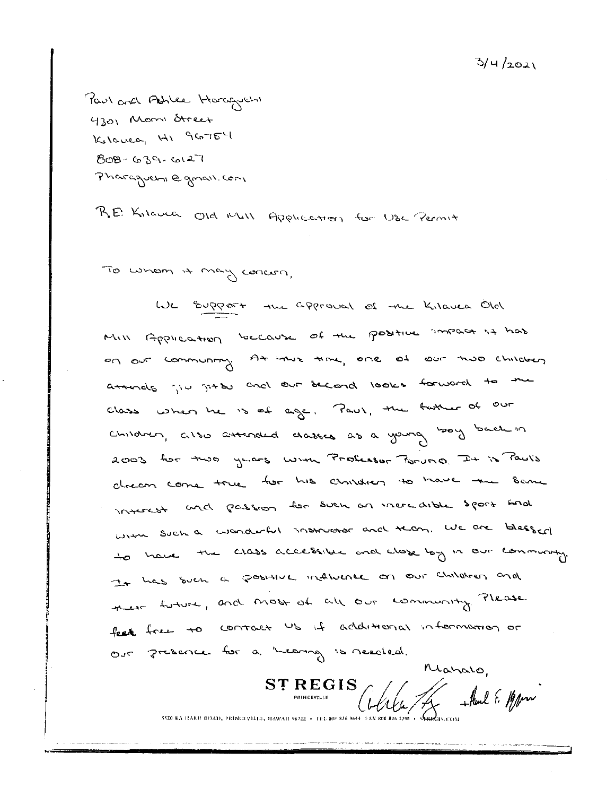$3/$ 4 $/$ 202 $\backslash$ 

Paul and Ashlee Haraguch 4301 Mom dreet  $K_t$ lovea,  $H_1$  glo $T_0$  $50B - 630 - 6127$  $P$ haraguen $_0$  e grav. (or)

R.E: K, Iave Old MIII Application for USC Permit

 $\omega$  (avenuely court)

We support the approval of the Kilavea Old MIN Application because of the positive inpact is has At the time, one of our two children  $_{\rm{C}\mu\nu\rho\sigma\sigma}$  cross attended crasses as a young boy back in 2003 hor two years with Probassor Poruno. It is Pauls atturals jiv jit du encl out decord looks forward to the Class when he is of age. Paul, the father of our alnear come true for his children to have the Same ond passion for such an incredible sport bad  $L_1$ , such a wonderful instructor and then, we are bless and to have the class accessible and close by in our community. It has such a positive influence on our children and nest tuture, and most of all out community. Please face to contact us if additional information or Our Jresence for a hearing is needed

ST REGIS ST REGIS<br>  $\int_{\text{PINICEVILLE}} \int_{\text{PINICEVILLE}} \int_{\text{PINICEVILLE}} \int_{\text{PINICEVILLE}}$ 

Maralo,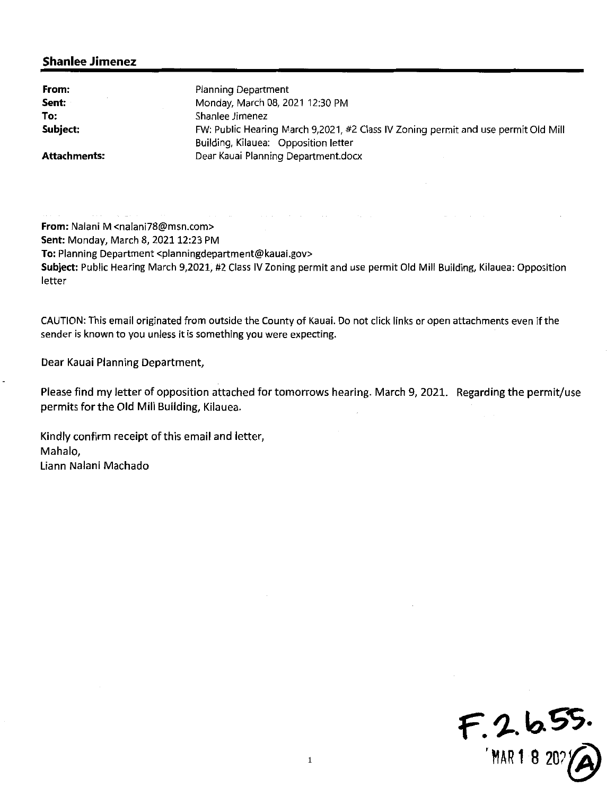| From:               | <b>Planning Department</b>                                                         |
|---------------------|------------------------------------------------------------------------------------|
| Sent:               | Monday, March 08, 2021 12:30 PM                                                    |
| To:                 | Shanlee Jimenez                                                                    |
| Subject:            | FW: Public Hearing March 9,2021, #2 Class IV Zoning permit and use permit Old Mill |
|                     | Building, Kilauea: Opposition letter                                               |
| <b>Attachments:</b> | Dear Kauai Planning Department.docx                                                |

From: Nalani M <nalani78@msn.com> Sent: Monday, March 8, 2021 12:23 PM To: Planning Department <planningdepartment@kauai.gov> Subject: Public Hearing March 9,2021, #2 Class IV Zoning permit and use permit Old Mill Building, Kilauea: Opposition letter

CAUTION: This email originated from outside the County of Kauai. Do not click links or open attachments even ifthe sender is known to you unless it is something you were expecting.

Dear Kauai Planning Department,

Please find my letter of opposition attached for tomorrows hearing. March 9, 2021. Regarding the permit/use permits for the Old Mill Building, Kilauea.

Kindly confirm receipt of this email and letter, Mahalo, Liann Nalani Machado

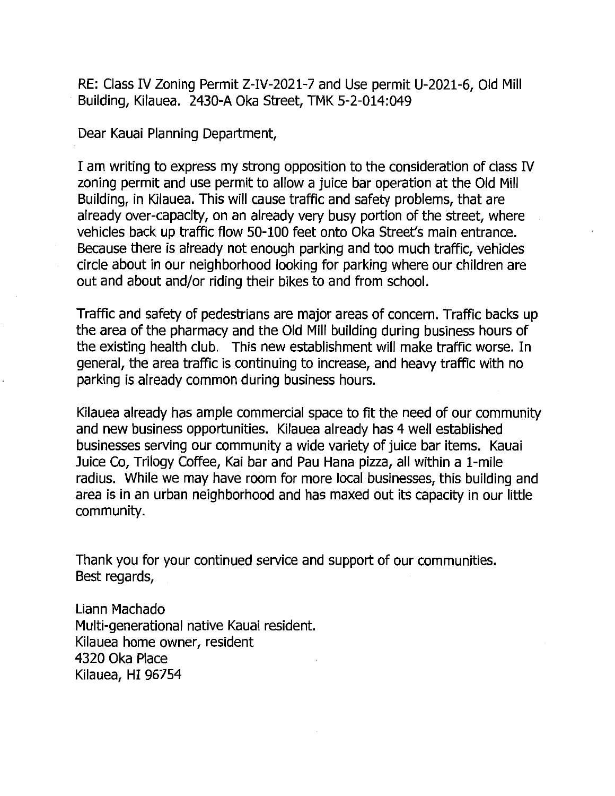RE: Class IV Zoning Permit Z-IV-2021-7 and Use permit U-2021-6, Old Building, Kilauea. 2430-A Oka Street, TMK 5-2-014:049

Dear Kauai Planning Department,

I am writing to express my strong opposition to the consideration of class IV zoning permit and use permit to allow <sup>a</sup> juice bar operation at the Old Mill Building, in Kilauea. This will cause traffic and safety problems, that are already over-capacity, on an already very busy portion of the street, where vehicles back up traffic flow 50-100 feet onto Oka Street's main entrance. Because there is already not enough parking and too much traffic, vehicles circle about in our neighborhood looking for parking where our children are out and about and/or riding their bikes to and from school.

Traffic and safety of pedestrians are major areas of concern. Traffic backs up the area of the pharmacy and the Old Mill building during business hours of the existing health club. This new establishment will make traffic worse. In general, the area traffic is continuing to increase, and heavy traffic with no parking is already common during business hours.

Kilauea already has ample commercial space to fit the need of our community and new business opportunities. Kilauea already has 4 well established businesses serving our community a wide variety of juice bar items. Kauai Juice Co, Trilogy Coffee, Kai bar and Pau Hana pizza, all within <sup>a</sup> 1-mile radius. While we may have room for more local businesses, this building and area is in an urban neighborhood and has maxed out its capacity in our little community.

Thank you for your continued service and support of our communities. Best regards,

Liann Machado Multi-generational native Kauai resident. Kilauea home owner, resident 4320 Oka Place Kilauea, HI 96754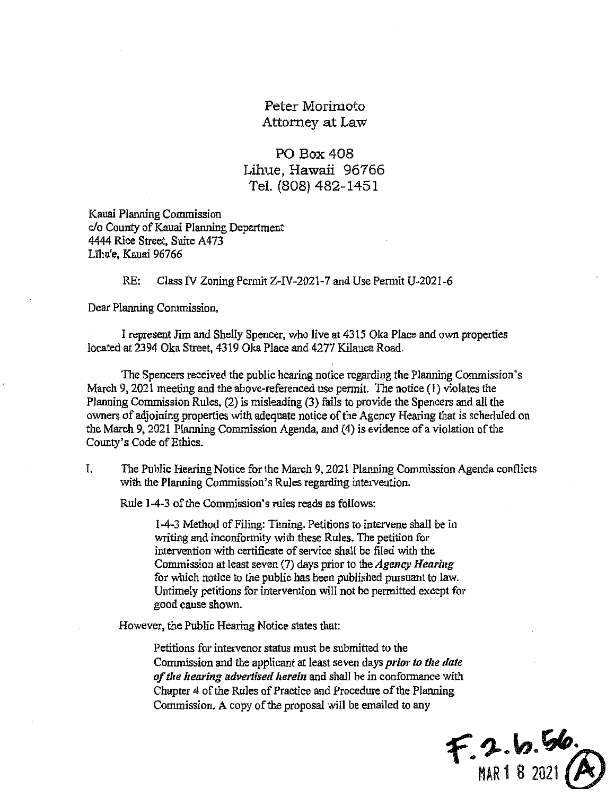## Peter Morimoto Attomey at Law

PO Box 408 Lihue, Hawaii 96766 Tel. (808)482-1451

Kauai Planning Commission c/o County of Kauai Planning Department 4444 Rice Street, Suite A473 Lihu'e, Kauai 96766

RE: Class FV Zoning Permit Z-IV-2021 -7 and Use Permit U-2021 -6

Dear PIanning Commission,

<sup>I</sup> represent Jim and Shelly Spencer, who live at 4315 Oka Place and own properties located at 2394 Oka Street, 4319 Oka Place and 4277 Kilauea Road.

The Spencers received the public hearing notice regarding the Planning Commission's March 9,2021 meeting and the above-referenced use pennit. The notice (1) violates the Planning Commission Rules, (2) is misleading (3) fails to provide the Spencers and all the owners of adjoining properties with adequate notice of the Agency Hearing that is scheduled on the March 9, 2021 Planning Commission Agenda, and (4) is evidence of a violation of the County's Code of Ethics.

I. The Public Hearing Notice for the March 9, 2021 Planning Commission Agenda conflicts with the Planning Commission's Rules regarding intervention.

Rule 1-4-3 of the Commission's rules reads as follows:

1-4-3 Method of Filing: Timing. Petitions to intervene shall be in writing and inconformity witb these Rules. The petition for intervention with certificate of service shall be filed with the Commission at least seven (7) days prior to the *Agency Hearing* for which notice to the public has been published pursuant to law. Untimely petitions for intervention will not be permitted except for good cause shown.

However, the Public Hearing Notice states that:

Petitions for intervenor status must be submitted to the Commission and the applicant at least seven days *prior to the date* of the hearing advertised herein and shall be in conformance with Chapter 4 of the Rules of Practice and Procedure of the Planning Commission. A copy of the proposal will be emailed to any

 $F.2.6.56$ <br>MAR 1 8 2021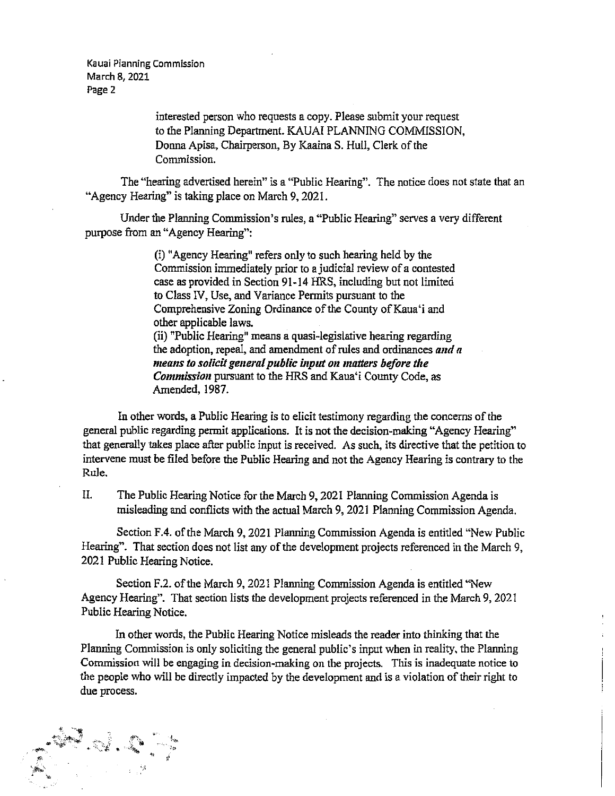Kauai Planning Commission March 8,2021 Page 2

> interested person who requests a copy. Please submit your request to the PIanning Department. KAUAI PLANNING COMMISSION, Donna Apisa, Chairperson, By Kaaina S. Hull, Clerk of the Commission.

The "hearing advertised herein" is <sup>a</sup> "Public Hearing". The notice does not state that an "Agency Hearing" is taking place on March 9, 2021.

Under the Plamiing Commission's rules, a "Public Hearing" serves <sup>a</sup> very different purpose from an "Agency Hearing":

> (i) "Agency Hearing" refers only to such hearing held by the Commission immediately prior to a judicial review of a contested case as provided in Section 91-14 HRS, including but not limited to Class IV, Use, and Variance Permits pursuant to the Comprehensive Zoning Ordinance of the County of Kaua'i and other applicabie laws. (ii) "Public Hearing" meaas <sup>a</sup> quasi-legislative hearing regarding the adoption, repeal, and amendment of rules and ordinances and  $a$ means to solicit general public input on matters before the Commission pursuant to the HRS and Kaua'i County Code, as Amended, 1987.

In other words, a Public Hearing is to elicit testimony regarding the concerns of the general public regarding pennit applications. It is not the decision-making "Agency Hearing" that generally takes place after public input is received. As such, its directive that the petition to intervene must be filed before the Public Hearing and not the Agency Hearing is contrary to the Rule.

II. The Public Hearing Notice for fhe March 9,202 <sup>1</sup> Planning Commission Agenda is misleading and conflicts with the actual March 9,2021 Planning Commissioa Agenda.

Section F.4. of the March 9, 2021 Planning Commission Agenda is entitled "New Public Hearing". That section does not list any of the development projects referenced in the March 9, 2021 Public Hearing Notice.

Section F.2. of the March 9, 2021 Planning Commission Agenda is entitled "New Agency Hearing". That section lists the development prajects referenced in the March 9,2021 Public Hearing Notice.

In other words, the Public Hearing Notice misleads the reader into thinking that the Planning Commission is only soliciting the general public's input when in reality, the Planning Commission will be engaging in decision-making on the projects. This is inadequate notice to the people who will be directly impacted by the development and is a violation of their right to due process.

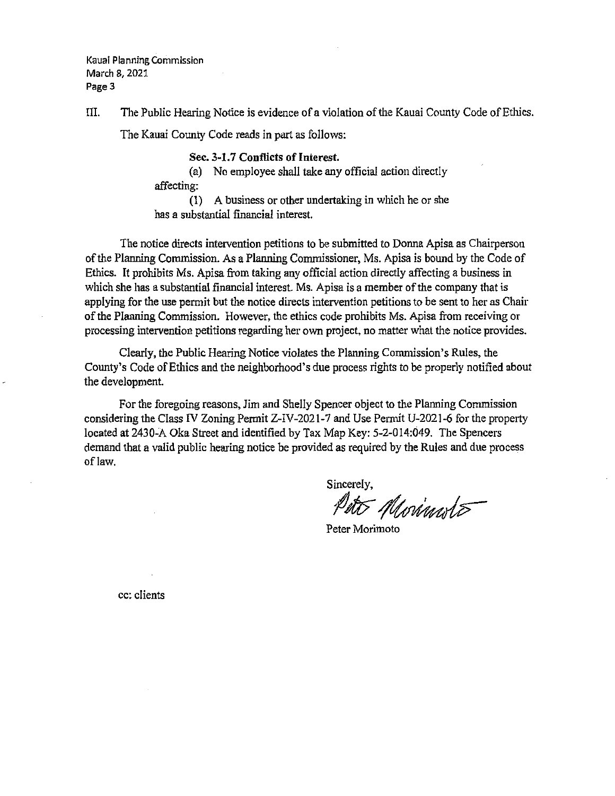Kauai Plannjng Commission March 8,2021 Page 3

III. The Public Hearing Notice is evidence of a violation of the Kauai County Code of Ethics.

The Kauai County Code reads in part as follows:

Sec. 3-1.7 Conflicts of Interest.

(a) No employee shall take any official action directly affecting:

(1) A business or other undertaking in which he or she has a substantial financial interest.

The notice directs intervention petitions to be submitted to Donna Apisa as Chairperson of the Planning Commission. As a Planning Commissioner, Ms. Apisa is bound by the Code of Ethics. It prohibits Ms. Apisa from taking any official action directly affecting a business in which she has a substantial financial interest. Ms. Apisa is a member of the company that is applying for the use permit but the notice directs intervention petitions to be sent to her as Chair of the Planning Commission. However, the ethics code prohibits Ms. Apisa from receiving or processing intervention petitions regarding her own project, no matter what the notice provides.

Clearly, the Public Hearing Notice violates the Planning Commission's Rules, the County's Code of Ethics and the neighborhood's due process rights to be properly notified about the development.

For the foregoing reasons, Jim and Shelly Spencer object to the Planning Commission considering the Class IV Zoning Permit Z-IV-2021-7 and Use Permit U-2021-6 for the property located at 2430-A Oka Street and identified by Tax Map Key: 5-2-014:049. The Spencers demand that a valid public hearing notice be provided as required by the Rules and due process of law.

Sincerely,<br>Peto Morinales

Peter Morimoto

cc: clients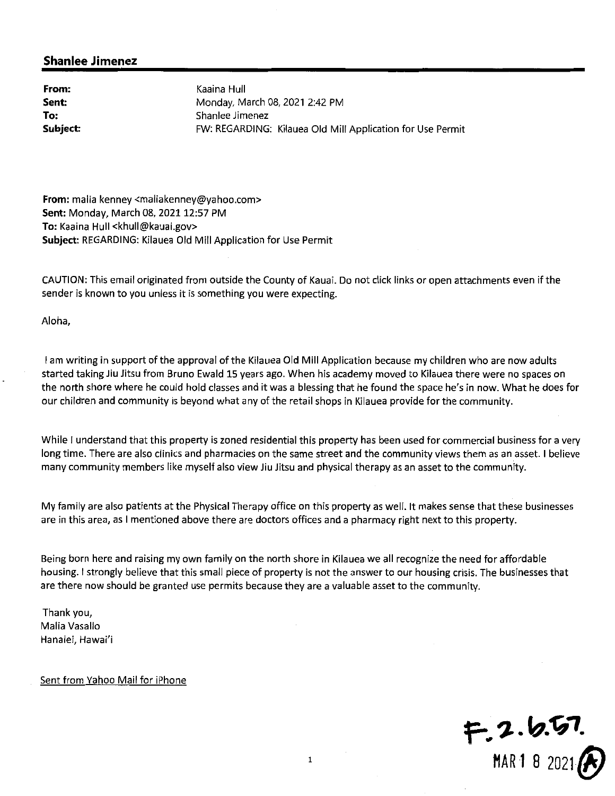From: Sent: To: Subject:

Kaaina Hull Monday, March 08, 2021 2:42 PM Shanlee Jimenez FW: REGARDING: Kilauea Old Mill Application for Use Permit

From; malia kenney <maliakenney@yahoo.com> Sent: Monday, March 08, 2021 12:57 PM To: Kaaina Hull <khull@kauai.gov> Subject: REGARDING: Kilauea Old Mill Application for Use Permit

CAUTION: This email originated from outside the County of Kauai. Do not click links or open attachments even ifthe sender is known to you unless it is something you were expecting.

Aloha,

I am writing in support of the approval of the Kilauea Old Mill Application because my children who are now adults started taking Jiu Jitsu from Bruno Ewald 15 years ago. When his academy moved to Kilauea there were no spaces on the north shore where he could hold classes and it was <sup>a</sup> blessing that he found the space he's in now. What he does for our children and community is beyond what any of the retail shops in Kilauea provide for the community.

While I understand that this property is zoned residential this property has been used for commercial business for a very long time. There are also clinics and pharmacies on the same street and the community views them as an asset. <sup>1</sup> believe many community members like myself also view Jiu Jitsu and physical therapy as an asset to the community.

My family are also patients at the Physical Therapy office on this property as well. It makes sense that these businesses are in this area, as I mentioned above there are doctors offices and a pharmacy right next to this property.

Being born here and raising my own family on the north shore in Kilauea we all recognize the need for affordable housing. <sup>1</sup> strongly believe that this small piece of property is not the answer to our housing crisis. The businesses that are there now should be granted use permits because they are <sup>a</sup> valuable asset to the community.

Thank you, Malia Vasallo Hanalei, Hawai'i

Sent from Yahoo Mail for iPhone

 $f=2.6.57$ MAR 1 8 2021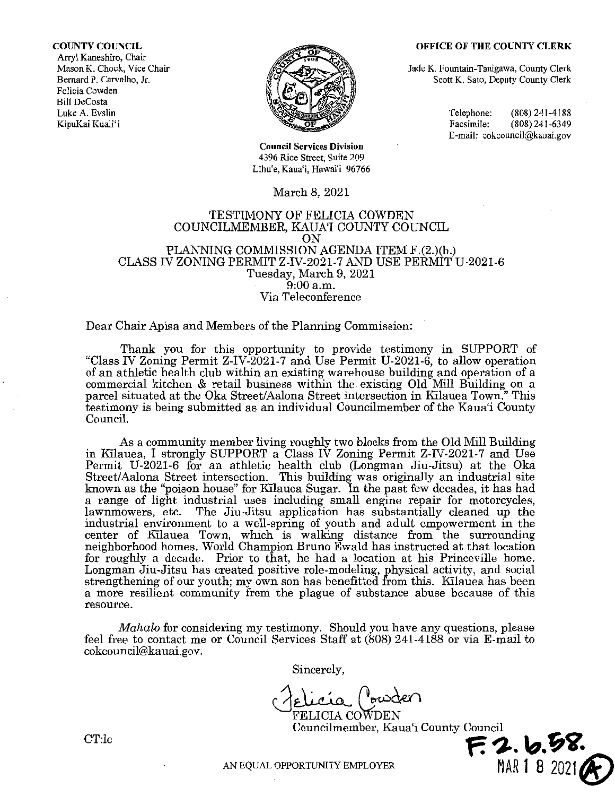#### OFFICE OF THE COUNTY CLERK

COUNTY COUNCIL Arryl Kaneshiro, Chair Mason K. Chock, Vice Chair Bemard P. Carvalho, Jr. Felicia Cowden Bill DeCosta Luke A. Evslin KipuKai Kuali'i



Council Services Division 4396 Rice Street, Suite 209 Līhu'e, Kaua'i, Hawai'i 96766

### March 8, 2021

### TESTIMONY OF FELICIA COWDEN COUNCILMEMBBR, KAUA'I COUNTY COUNCIL ON PLANNING COMMISSION AGENDA ITEM F.(2.)(b.) CLASS IV ZONING PERMIT Z-IV-2021-7 AND USE PERMIT U-2021-6 Tuesday, March 9, 2021 9:00 a.m. Via Teleconference

### Dear Chair Apisa and Members of the Planning Commission:

Thank you for this opportunity to provide testimony in SUPPORT of "Class IV Zoning Permit Z-IV-2021-7 and Use Permit U-2021-6, to allow operation of an athletic health club within an existing warehouse building and operation of a commercial kitehen & retail business within the existing Old Mill Building on a parcel situated at the Oka Street/Aalona Street intersection in Kilauea Town." This testimony is being submitted as an individual Councilmember of the Kaua'i County Council.

As a community member living roughly two blocks from the Old Mill Building in Kilauea, I strongly SUPPORT a Class IV Zoning Permit Z-IV-2021-7 and Use Permit U-2021-6 for an athletic health club (Longman Jiu-Jitsu) at the Oka Street/Aalona Street intersection. This building was originally an industrial site known as the "poison house" for Kilauea Sugar. In the past few decades, it has had a range of light industrial uses including small engine repair for motorcycles, lawnmowers, etc. The Jiu-Jitsu application has substantially cleaned up the The Jiu-Jitsu application has substantially cleaned up the industrial environment to a well-spring of youth and adult empowerment in the center of Kilauea Town, which is walking distance from the surrounding neighborhood homes. World Champion Bruno Ewald has instructed at that location for roughly a decade. Prior to that, he had a location at his Princeville home. Longman Jiu-Jitsu has created positive role-modeling, physical activity, and social strengthening of our youth; my own son has benefitted from this. Kilauea has been a more resilient community from the plague of substance abuse because of this resource.

Mahalo for considering my testimony. Should you have any questions, please feel free to contact me or Council Services Staff at (808) 241-4188 or via E-mail to cokcouncil@kauai.gov.

Sincerely,

felicía (<sup>r</sup>owder)  $\mathop{\mathrm{coWDEN}}$ 

Councilmember, Kaua'i County Council

Jade K. Fountain-Tanigawa, County Clerk Scott K. Sato, Deputy County CIerk

> Telephone: (808) 241-4188<br>Facsimile: (808) 241-6349  $(808)$  241-6349 E-mail; cokcouncil@kauai.gov

AN EQUAL OPPORTUNITY EMPLOYER MAR 1 8 2021

CT:lc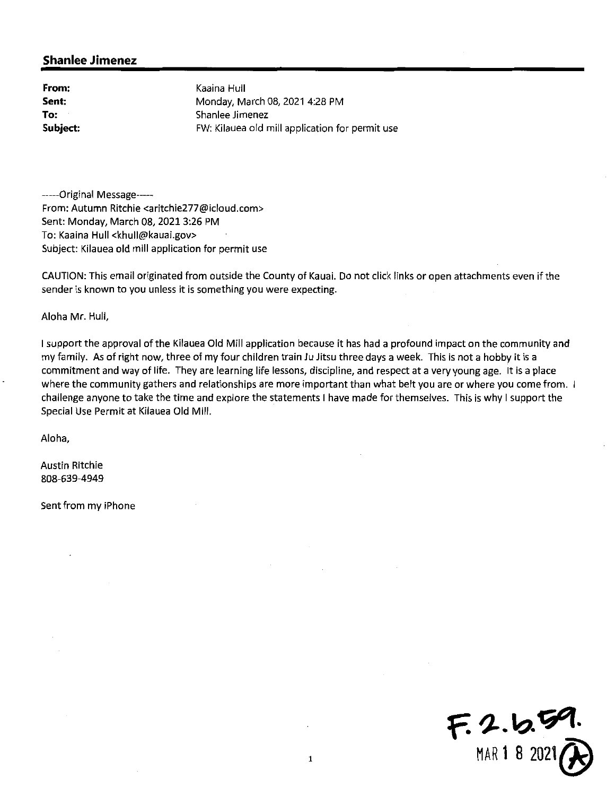From: Sent: To: Subject:

Kaaina Hull Monday, March 08, 2021 4:28 PM Shanlee Jimenez FW: Kilauea old mill application for permit use

-----Original Message-----From: Autumn Ritchie <aritchie277@icloud.com> Sent: Monday, March 08, 2021 3:26 PM To: Kaaina Hull <khull@kauai.gov> Subject: Kilauea old mill application for permit use

CAUTION: This email originated from outside the County of Kauai. Do not click links or open attachments even if the sender is known to you unless it is something you were expecting.

Aloha Mr. Hull,

I support the approval of the Kilauea Old Mill application because it has had a profound impact on the community and my family. As of right now, three of my four children train Ju Jitsu three days <sup>a</sup> week. This is not <sup>a</sup> hobby it is <sup>a</sup> commitment and way of life. They are learning life lessons, discipline, and respect at <sup>a</sup> very young age. It is <sup>a</sup> place where the community gathers and relationships are more important than what belt you are or where you come from. challenge anyone to take the time and explore the statements <sup>I</sup> have made for themselves. This is why <sup>1</sup> support the Special Use Permit at Kilauea Old Mill.

Aloha,

Austin Ritchie 808-639-4949

Sent from my iPhone

 $F. 2.6.59.$ MAR1 8 2021^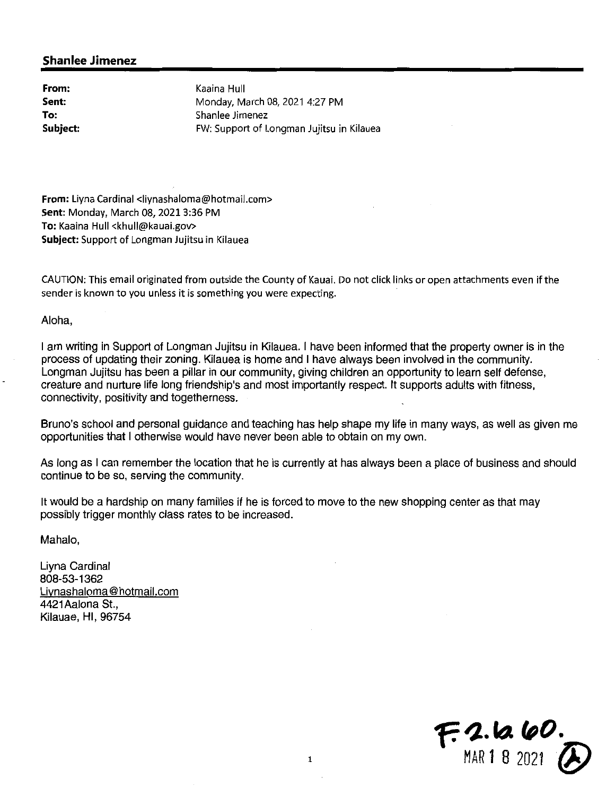From: Sent: To: Subject:

Kaaina Hull Monday, March 08, 2021 4:27 PM Shanlee Jimenez FW: Support of Longman Jujitsu in Kilauea

From: Liyna Cardinal <liynashaloma@hotmail.com> Sent: Monday, March 08, 2021 3:36 PM To: Kaaina Hull <khull@kauai.gov> Subject: Support of Longman Jujitsu in Kilauea

CAUTION: This email originated from outside the County of Kauai. Do not click links or open attachments even if the sender is known to you unless it is something you were expecting.

Aloha,

<sup>I</sup> am writing in Support of Longman Jujitsu in Kilauea. <sup>I</sup> have been informed that the property owner is in the process of updating their zoning. Kilauea is home and <sup>1</sup> have always been involved in the community. Longman Jujitsu has been a pillar in our community, giving children an opportunity to learn self defense, creature and nurture life long friendship's and most importantly respect. It supports adults with fitness, connectivity, positivity and togetherness.

Bruno's school and personal guidance and teaching has help shape my life in many ways, as well as given me opportunities that <sup>I</sup> otherwise would have never been able to obtain on my own.

As long as I can remember the location that he is currently at has always been a place of business and should continue to be so, serving the community.

It would be a hardship on many families if he is forced to move to the new shopping center as that may possibly trigger monthly class rates to be increased.

Mahalo,

Liyna Cardinal 808-53-1362 Livnashaloma @ hotmail.com 4421Aalona St., Kilauae, Hl, 96754